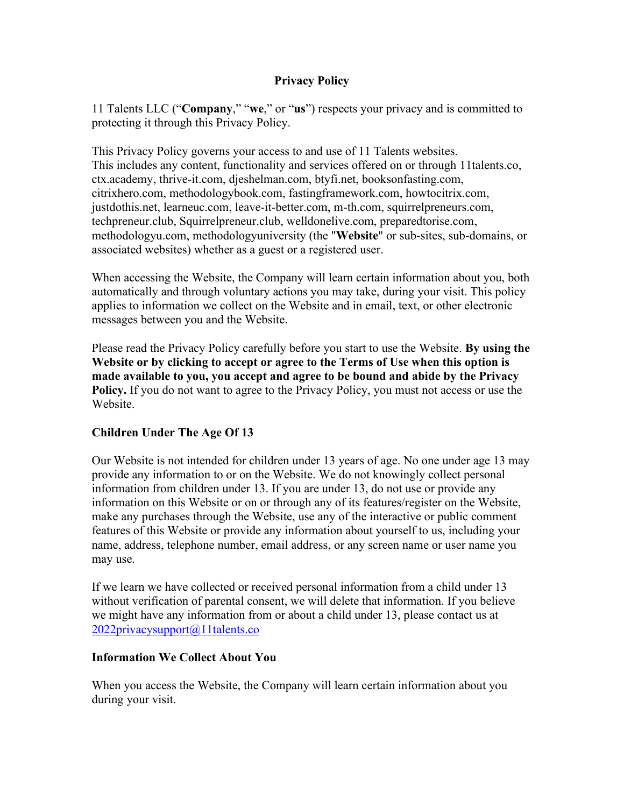### **Privacy Policy**

11 Talents LLC ("**Company**," "**we**," or "**us**") respects your privacy and is committed to protecting it through this Privacy Policy.

This Privacy Policy governs your access to and use of 11 Talents websites. This includes any content, functionality and services offered on or through 11talents.co, ctx.academy, thrive-it.com, djeshelman.com, btyfi.net, booksonfasting.com, citrixhero.com, methodologybook.com, fastingframework.com, howtocitrix.com, justdothis.net, learneuc.com, leave-it-better.com, m-th.com, squirrelpreneurs.com, techpreneur.club, Squirrelpreneur.club, welldonelive.com, preparedtorise.com, methodologyu.com, methodologyuniversity (the "**Website**" or sub-sites, sub-domains, or associated websites) whether as a guest or a registered user.

When accessing the Website, the Company will learn certain information about you, both automatically and through voluntary actions you may take, during your visit. This policy applies to information we collect on the Website and in email, text, or other electronic messages between you and the Website.

Please read the Privacy Policy carefully before you start to use the Website. **By using the Website or by clicking to accept or agree to the Terms of Use when this option is made available to you, you accept and agree to be bound and abide by the Privacy Policy.** If you do not want to agree to the Privacy Policy, you must not access or use the Website.

### **Children Under The Age Of 13**

Our Website is not intended for children under 13 years of age. No one under age 13 may provide any information to or on the Website. We do not knowingly collect personal information from children under 13. If you are under 13, do not use or provide any information on this Website or on or through any of its features/register on the Website, make any purchases through the Website, use any of the interactive or public comment features of this Website or provide any information about yourself to us, including your name, address, telephone number, email address, or any screen name or user name you may use.

If we learn we have collected or received personal information from a child under 13 without verification of parental consent, we will delete that information. If you believe we might have any information from or about a child under 13, please contact us at [2022privacysupport@11talents.co](mailto:2022privacysupport@11talents.co)

#### **Information We Collect About You**

When you access the Website, the Company will learn certain information about you during your visit.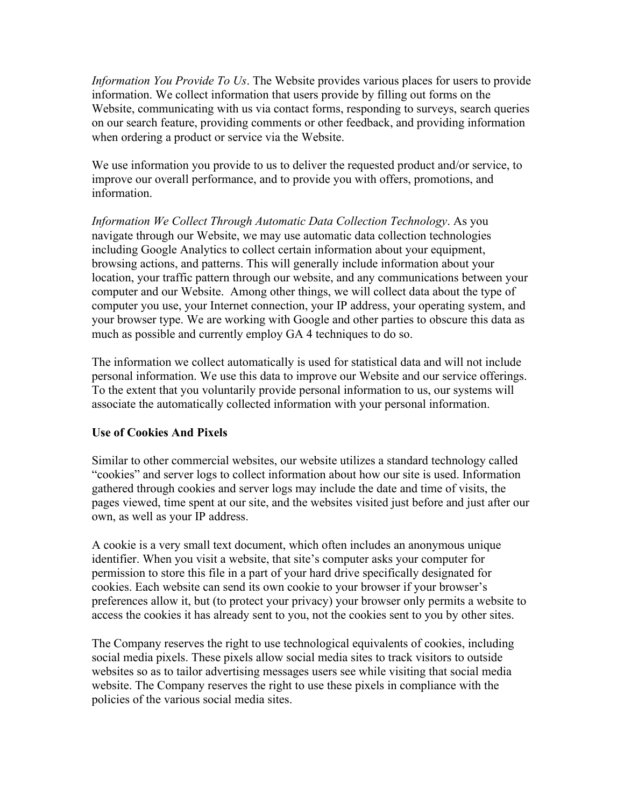*Information You Provide To Us*. The Website provides various places for users to provide information. We collect information that users provide by filling out forms on the Website, communicating with us via contact forms, responding to surveys, search queries on our search feature, providing comments or other feedback, and providing information when ordering a product or service via the Website.

We use information you provide to us to deliver the requested product and/or service, to improve our overall performance, and to provide you with offers, promotions, and information.

*Information We Collect Through Automatic Data Collection Technology*. As you navigate through our Website, we may use automatic data collection technologies including Google Analytics to collect certain information about your equipment, browsing actions, and patterns. This will generally include information about your location, your traffic pattern through our website, and any communications between your computer and our Website. Among other things, we will collect data about the type of computer you use, your Internet connection, your IP address, your operating system, and your browser type. We are working with Google and other parties to obscure this data as much as possible and currently employ GA 4 techniques to do so.

The information we collect automatically is used for statistical data and will not include personal information. We use this data to improve our Website and our service offerings. To the extent that you voluntarily provide personal information to us, our systems will associate the automatically collected information with your personal information.

### **Use of Cookies And Pixels**

Similar to other commercial websites, our website utilizes a standard technology called "cookies" and server logs to collect information about how our site is used. Information gathered through cookies and server logs may include the date and time of visits, the pages viewed, time spent at our site, and the websites visited just before and just after our own, as well as your IP address.

A cookie is a very small text document, which often includes an anonymous unique identifier. When you visit a website, that site's computer asks your computer for permission to store this file in a part of your hard drive specifically designated for cookies. Each website can send its own cookie to your browser if your browser's preferences allow it, but (to protect your privacy) your browser only permits a website to access the cookies it has already sent to you, not the cookies sent to you by other sites.

The Company reserves the right to use technological equivalents of cookies, including social media pixels. These pixels allow social media sites to track visitors to outside websites so as to tailor advertising messages users see while visiting that social media website. The Company reserves the right to use these pixels in compliance with the policies of the various social media sites.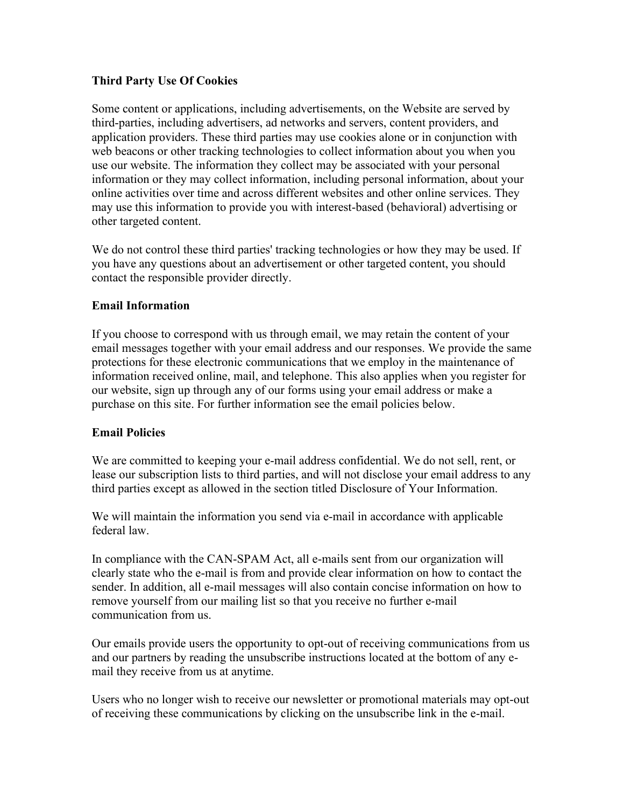### **Third Party Use Of Cookies**

Some content or applications, including advertisements, on the Website are served by third-parties, including advertisers, ad networks and servers, content providers, and application providers. These third parties may use cookies alone or in conjunction with web beacons or other tracking technologies to collect information about you when you use our website. The information they collect may be associated with your personal information or they may collect information, including personal information, about your online activities over time and across different websites and other online services. They may use this information to provide you with interest-based (behavioral) advertising or other targeted content.

We do not control these third parties' tracking technologies or how they may be used. If you have any questions about an advertisement or other targeted content, you should contact the responsible provider directly.

## **Email Information**

If you choose to correspond with us through email, we may retain the content of your email messages together with your email address and our responses. We provide the same protections for these electronic communications that we employ in the maintenance of information received online, mail, and telephone. This also applies when you register for our website, sign up through any of our forms using your email address or make a purchase on this site. For further information see the email policies below.

## **Email Policies**

We are committed to keeping your e-mail address confidential. We do not sell, rent, or lease our subscription lists to third parties, and will not disclose your email address to any third parties except as allowed in the section titled Disclosure of Your Information.

We will maintain the information you send via e-mail in accordance with applicable federal law.

In compliance with the CAN-SPAM Act, all e-mails sent from our organization will clearly state who the e-mail is from and provide clear information on how to contact the sender. In addition, all e-mail messages will also contain concise information on how to remove yourself from our mailing list so that you receive no further e-mail communication from us.

Our emails provide users the opportunity to opt-out of receiving communications from us and our partners by reading the unsubscribe instructions located at the bottom of any email they receive from us at anytime.

Users who no longer wish to receive our newsletter or promotional materials may opt-out of receiving these communications by clicking on the unsubscribe link in the e-mail.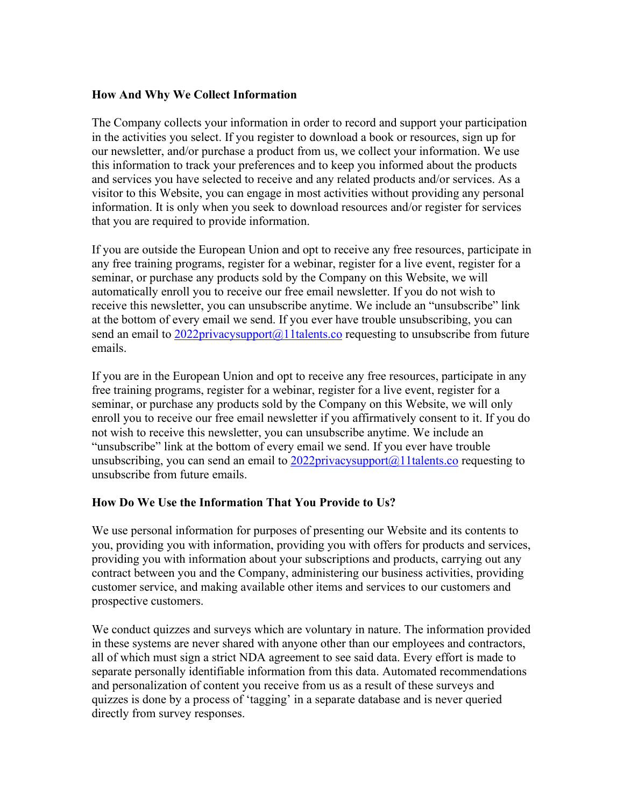#### **How And Why We Collect Information**

The Company collects your information in order to record and support your participation in the activities you select. If you register to download a book or resources, sign up for our newsletter, and/or purchase a product from us, we collect your information. We use this information to track your preferences and to keep you informed about the products and services you have selected to receive and any related products and/or services. As a visitor to this Website, you can engage in most activities without providing any personal information. It is only when you seek to download resources and/or register for services that you are required to provide information.

If you are outside the European Union and opt to receive any free resources, participate in any free training programs, register for a webinar, register for a live event, register for a seminar, or purchase any products sold by the Company on this Website, we will automatically enroll you to receive our free email newsletter. If you do not wish to receive this newsletter, you can unsubscribe anytime. We include an "unsubscribe" link at the bottom of every email we send. If you ever have trouble unsubscribing, you can send an email to  $2022$ privacysupport $(a)$ 11talents.co requesting to unsubscribe from future emails.

If you are in the European Union and opt to receive any free resources, participate in any free training programs, register for a webinar, register for a live event, register for a seminar, or purchase any products sold by the Company on this Website, we will only enroll you to receive our free email newsletter if you affirmatively consent to it. If you do not wish to receive this newsletter, you can unsubscribe anytime. We include an "unsubscribe" link at the bottom of every email we send. If you ever have trouble unsubscribing, you can send an email to  $2022$ privacysupport $(a)$ 1 talents.co requesting to unsubscribe from future emails.

### **How Do We Use the Information That You Provide to Us?**

We use personal information for purposes of presenting our Website and its contents to you, providing you with information, providing you with offers for products and services, providing you with information about your subscriptions and products, carrying out any contract between you and the Company, administering our business activities, providing customer service, and making available other items and services to our customers and prospective customers.

We conduct quizzes and surveys which are voluntary in nature. The information provided in these systems are never shared with anyone other than our employees and contractors, all of which must sign a strict NDA agreement to see said data. Every effort is made to separate personally identifiable information from this data. Automated recommendations and personalization of content you receive from us as a result of these surveys and quizzes is done by a process of 'tagging' in a separate database and is never queried directly from survey responses.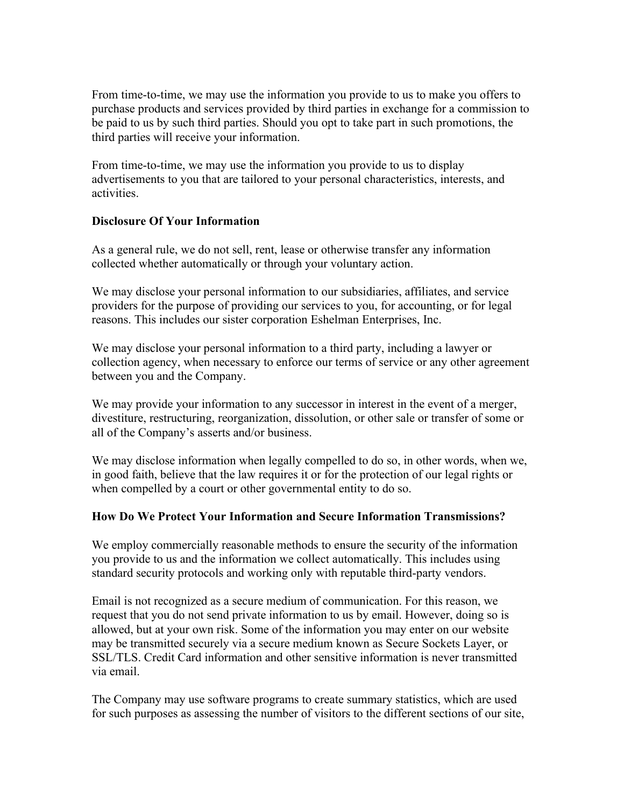From time-to-time, we may use the information you provide to us to make you offers to purchase products and services provided by third parties in exchange for a commission to be paid to us by such third parties. Should you opt to take part in such promotions, the third parties will receive your information.

From time-to-time, we may use the information you provide to us to display advertisements to you that are tailored to your personal characteristics, interests, and activities.

### **Disclosure Of Your Information**

As a general rule, we do not sell, rent, lease or otherwise transfer any information collected whether automatically or through your voluntary action.

We may disclose your personal information to our subsidiaries, affiliates, and service providers for the purpose of providing our services to you, for accounting, or for legal reasons. This includes our sister corporation Eshelman Enterprises, Inc.

We may disclose your personal information to a third party, including a lawyer or collection agency, when necessary to enforce our terms of service or any other agreement between you and the Company.

We may provide your information to any successor in interest in the event of a merger, divestiture, restructuring, reorganization, dissolution, or other sale or transfer of some or all of the Company's asserts and/or business.

We may disclose information when legally compelled to do so, in other words, when we, in good faith, believe that the law requires it or for the protection of our legal rights or when compelled by a court or other governmental entity to do so.

### **How Do We Protect Your Information and Secure Information Transmissions?**

We employ commercially reasonable methods to ensure the security of the information you provide to us and the information we collect automatically. This includes using standard security protocols and working only with reputable third-party vendors.

Email is not recognized as a secure medium of communication. For this reason, we request that you do not send private information to us by email. However, doing so is allowed, but at your own risk. Some of the information you may enter on our website may be transmitted securely via a secure medium known as Secure Sockets Layer, or SSL/TLS. Credit Card information and other sensitive information is never transmitted via email.

The Company may use software programs to create summary statistics, which are used for such purposes as assessing the number of visitors to the different sections of our site,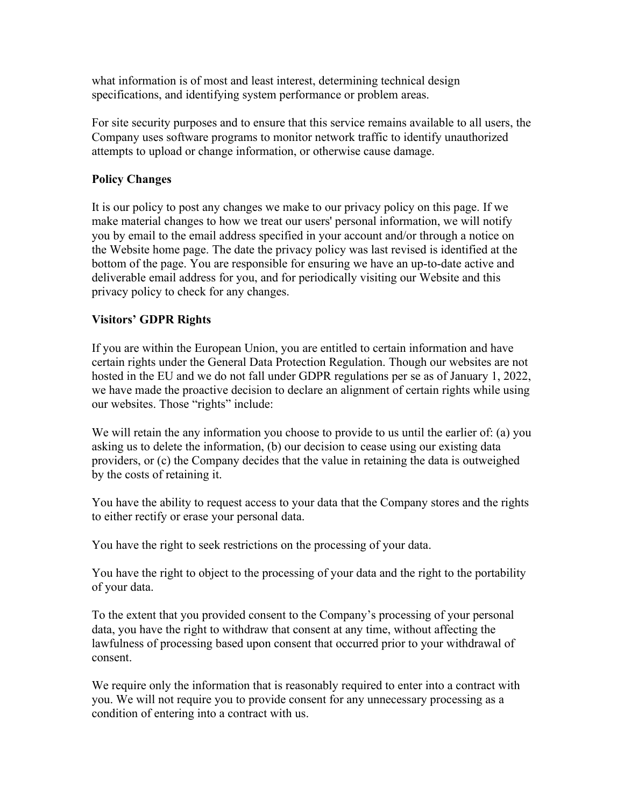what information is of most and least interest, determining technical design specifications, and identifying system performance or problem areas.

For site security purposes and to ensure that this service remains available to all users, the Company uses software programs to monitor network traffic to identify unauthorized attempts to upload or change information, or otherwise cause damage.

### **Policy Changes**

It is our policy to post any changes we make to our privacy policy on this page. If we make material changes to how we treat our users' personal information, we will notify you by email to the email address specified in your account and/or through a notice on the Website home page. The date the privacy policy was last revised is identified at the bottom of the page. You are responsible for ensuring we have an up-to-date active and deliverable email address for you, and for periodically visiting our Website and this privacy policy to check for any changes.

### **Visitors' GDPR Rights**

If you are within the European Union, you are entitled to certain information and have certain rights under the General Data Protection Regulation. Though our websites are not hosted in the EU and we do not fall under GDPR regulations per se as of January 1, 2022, we have made the proactive decision to declare an alignment of certain rights while using our websites. Those "rights" include:

We will retain the any information you choose to provide to us until the earlier of: (a) you asking us to delete the information, (b) our decision to cease using our existing data providers, or (c) the Company decides that the value in retaining the data is outweighed by the costs of retaining it.

You have the ability to request access to your data that the Company stores and the rights to either rectify or erase your personal data.

You have the right to seek restrictions on the processing of your data.

You have the right to object to the processing of your data and the right to the portability of your data.

To the extent that you provided consent to the Company's processing of your personal data, you have the right to withdraw that consent at any time, without affecting the lawfulness of processing based upon consent that occurred prior to your withdrawal of consent.

We require only the information that is reasonably required to enter into a contract with you. We will not require you to provide consent for any unnecessary processing as a condition of entering into a contract with us.